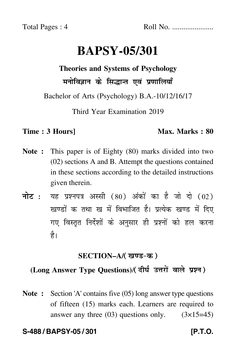# **BAPSY-05/301**

# **Theories and Systems of Psychology** मनोविज्ञान के सिद्धान्त एवं प्रणालियाँ

Bachelor of Arts (Psychology) B.A.-10/12/16/17

Third Year Examination 2019

### **Time : 3 Hours]** Max. Marks : 80

- **Note :** This paper is of Eighty (80) marks divided into two (02) sections A and B. Attempt the questions contained in these sections according to the detailed instructions given therein.
- नोट : यह प्रश्नपत्र अस्सी (80) अंकों का है जो दो (02) खण्डों क तथा ख में विभाजित है। प्रत्येक खण्ड में दिए गए विस्तृत निर्देशों के अनुसार ही प्रश्नों को हल करन<mark>ा</mark> है।

## **SECTION–A/**

# (Long Answer Type Questions)/( दीर्घ उत्तरों वाले प्रश्न )

**Note :** Section 'A' contains five (05) long answer type questions of fifteen (15) marks each. Learners are required to answer any three  $(03)$  questions only.  $(3\times15=45)$ 

## **S-488 / BAPSY-05 / 301 [P.T.O.**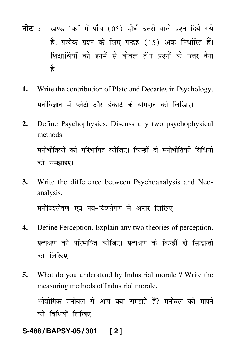- नोट: खण्ड 'क' में पाँच (05) दीर्घ उत्तरों वाले प्रश्न दिये गये हैं. प्रत्येक प्रश्न के लिए पन्द्रह (15) अंक निर्धारित हैं। शिक्षार्थियों को इनमें से केवल तीन प्रश्नों के उत्तर देना हैं।
- 1. Write the contribution of Plato and Decartes in Psychology. मनोविज्ञान में प्लेटो और डेकार्टे के योगदान को लिखिए।
- $2.$ Define Psychophysics. Discuss any two psychophysical methods. मनोभौतिकी को परिभाषित कीजिए। किन्हीं दो मनोभौतिकी विधियों को समझाइए।
- 3. Write the difference between Psychoanalysis and Neoanalysis. मनोविश्लेषण एवं नव-विश्लेषण में अन्तर लिखिए।
- Define Perception. Explain any two theories of perception. 4. प्रत्यक्षण को परिभाषित कीजिए। प्रत्यक्षण के किन्हीं दो सिद्धान्तों को लिखिए।
- 5. What do you understand by Industrial morale? Write the measuring methods of Industrial morale.

औद्योगिक मनोबल से आप क्या समझते हैं? मनोबल को मापने की विधियाँ लिखिए।

#### S-488/BAPSY-05/301  $121$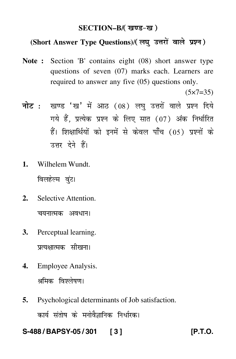### **SECTION–B/**

# (Short Answer Type Questions)/( लघु उत्तरों वाले प्रश्न )

**Note :** Section 'B' contains eight (08) short answer type questions of seven (07) marks each. Learners are required to answer any five (05) questions only.

 $(5 \times 7 = 35)$ 

- <mark>नोट</mark> : खण्ड 'ख' में आठ (08) लघु उत्तरों वाले प्रश्न दिये गये हैं, प्रत्येक प्रश्न के लिए सात (07) अंक निर्धारित हैं। शिक्षार्थियों को इनमें से केवल पाँच (05) प्रश्नों के उत्तर देने हैं।
- **1.** Wilhelem Wundt. विलहेल्म वुंट।
- **2.** Selective Attention. चयनात्मक अव<mark>धान।</mark>
- **3.** Perceptual learning. प्रत्यक्षात्मक सीखना<mark>।</mark>
- **4.** Employee Analysis. श्रमिक विश्लेषण।
- **5.** Psychological determinants of Job satisfaction. कार्य संतोष के मनोवैज्ञानिक निर्धारक।

**S-488 / BAPSY-05 / 301 [ 3 ] [P.T.O.**